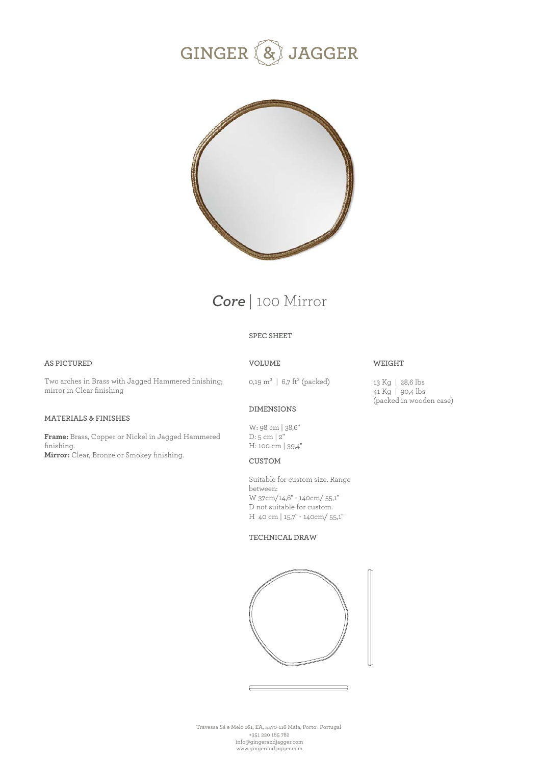



# *Core* | 100 Mirror

# **SPEC SHEET**

## **AS PICTURED**

Two arches in Brass with Jagged Hammered finishing; mirror in Clear finishing

# **MATERIALS & FINISHES**

**Frame:** Brass, Copper or Nickel in Jagged Hammered finishing. **Mirror:** Clear, Bronze or Smokey finishing.

# **VOLUME**

0,19  $m^3$  | 6,7 ft<sup>3</sup> (packed)

# **WEIGHT**

13 Kg | 28,6 lbs 41 Kg | 90,4 lbs (packed in wooden case)

# **DIMENSIONS**

W: 98 cm | 38,6" D: 5 cm | 2" H: 100 cm | 39,4"

## **CUSTOM**

Suitable for custom size. Range between: W 37cm/14,6" - 140cm/ 55,1" D not suitable for custom. H 40 cm | 15,7'' - 140cm/ 55,1"

#### **TECHNICAL DRAW**



Travessa Sá e Melo 161, EA, 4470-116 Maia, Porto . Portugal +351 220 165 782 info@gingerandjagger.com www.gingerandjagger.com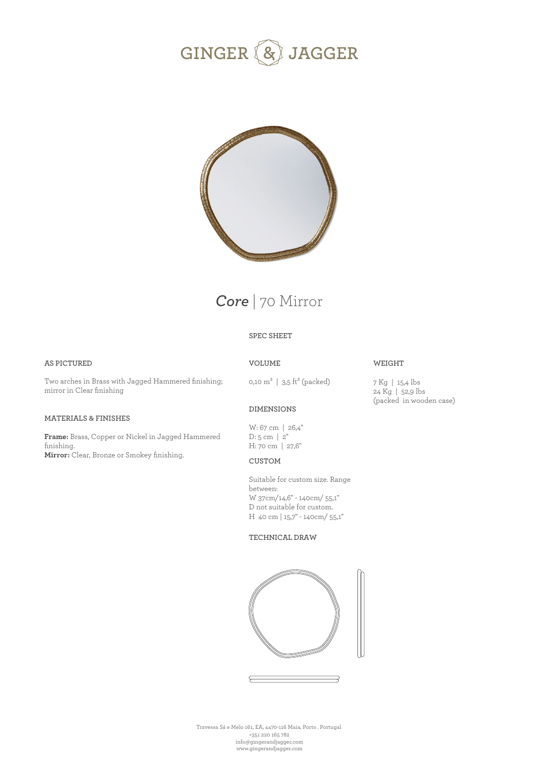# GINGER (& JAGGER





# **SPEC SHEET**

# **AS PICTURED**

Two arches in Brass with Jagged Hammered finishing; mirror in Clear finishing

# **MATERIALS & FINISHES**

**Frame:** Brass, Copper or Nickel in Jagged Hammered finishing. **Mirror:** Clear, Bronze or Smokey finishing.

# **VOLUME**

0,10  $m^3$  | 3,5 ft<sup>3</sup> (packed)

# **WEIGHT**

7 Kg | 15,4 lbs 24 Kg | 52,9 lbs (packed in wooden case)

# **DIMENSIONS**

W: 67 cm | 26,4'' D: 5 cm | 2'' H: 70 cm | 27,6''

# **CUSTOM**

Suitable for custom size. Range between: W 37cm/14,6" - 140cm/ 55,1" D not suitable for custom. H 40 cm | 15,7'' - 140cm/ 55,1"

#### **TECHNICAL DRAW**